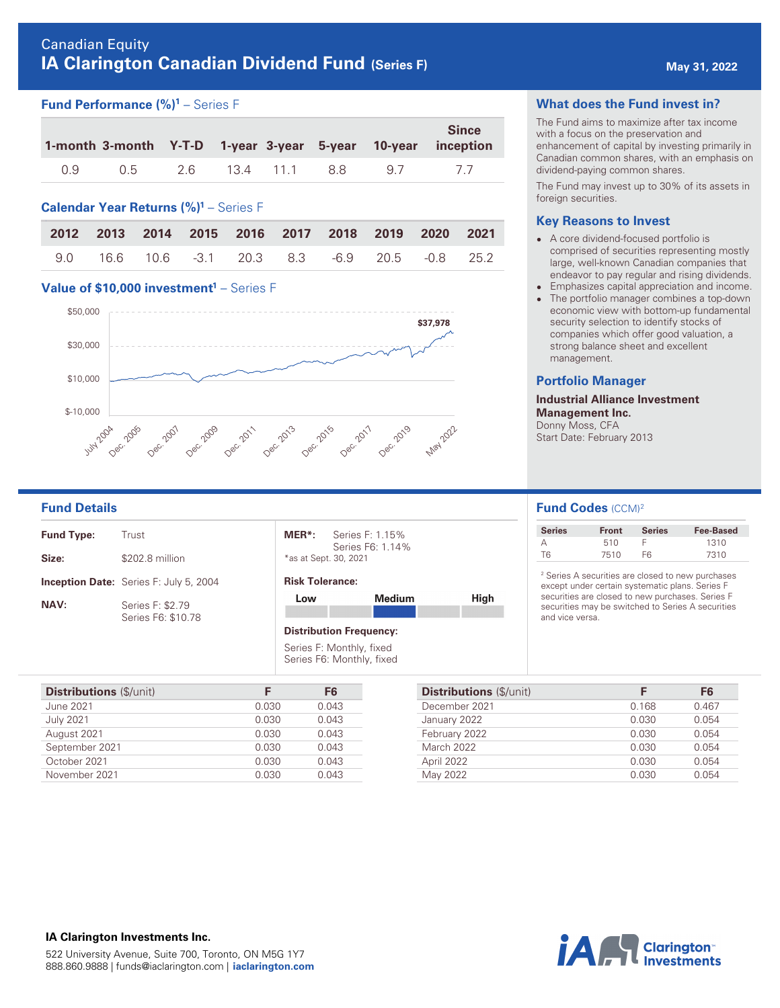# Canadian Equity **IA Clarington Canadian Dividend Fund (Series F) Analyzing the May 31, 2022**

# **Fund Performance (%)<sup>1</sup> – Series F**

|     |     |     |           |       |    | <b>Since</b><br>1-month 3-month Y-T-D 1-year 3-year 5-year 10-year inception |
|-----|-----|-----|-----------|-------|----|------------------------------------------------------------------------------|
| 0.9 | 0.5 | 2.6 | 13.4 11.1 | - 8.8 | 97 |                                                                              |

## **Calendar Year Returns (%) <sup>1</sup>** – Series F

|  | 2012 2013 2014 2015 2016 2017 2018 2019 2020 2021 |  |  |  |
|--|---------------------------------------------------|--|--|--|
|  | 9.0 16.6 10.6 -3.1 20.3 8.3 -6.9 20.5 -0.8 25.2   |  |  |  |

### **Value of \$10,000 investment<sup>1</sup> – Series F**



### **What does the Fund invest in?**

The Fund aims to maximize after tax income with a focus on the preservation and enhancement of capital by investing primarily in Canadian common shares, with an emphasis on dividend-paying common shares.

The Fund may invest up to 30% of its assets in foreign securities.

### **Key Reasons to Invest**

- A core dividend-focused portfolio is comprised of securities representing mostly large, well-known Canadian companies that endeavor to pay regular and rising dividends.
- **Emphasizes capital appreciation and income.** • The portfolio manager combines a top-down economic view with bottom-up fundamental security selection to identify stocks of companies which offer good valuation, a strong balance sheet and excellent management.

### **Portfolio Manager**

**Industrial Alliance Investment Management Inc.**  Donny Moss, CFA Start Date: February 2013

| <b>Fund Type:</b> | Trust                                         |
|-------------------|-----------------------------------------------|
| Size:             | \$202.8 million                               |
|                   | <b>Inception Date:</b> Series F: July 5, 2004 |
| <b>NAV:</b>       | Series F: \$2.79<br>Series F6: \$10.78        |

| MER*:                 | Series F: 1.15%  |
|-----------------------|------------------|
|                       | Series F6: 1.14% |
| *as at Sept. 30, 2021 |                  |

### **Risk Tolerance:**

| Low | <b>Medium</b> | High |
|-----|---------------|------|
|     |               |      |

### **Distribution Frequency:**

Series F: Monthly, fixed Series F6: Monthly, fixed

| <b>Distributions</b> (\$/unit) | F     | F6    |
|--------------------------------|-------|-------|
| June 2021                      | 0.030 | 0.043 |
| <b>July 2021</b>               | 0.030 | 0.043 |
| August 2021                    | 0.030 | 0.043 |
| September 2021                 | 0.030 | 0.043 |
| October 2021                   | 0.030 | 0.043 |
| November 2021                  | 0.030 | 0.043 |

## **Fund Details Fund Codes (CCM)<sup>2</sup>**

| <b>Series</b> | <b>Front</b> | <b>Series</b> | <b>Fee-Based</b> |
|---------------|--------------|---------------|------------------|
|               | 510          |               | 1310             |
| TR.           | 7510         | FR            | 7310             |

2 Series A securities are closed to new purchases except under certain systematic plans. Series F securities are closed to new purchases. Series F securities may be switched to Series A securities and vice versa.

| <b>Distributions</b> (\$/unit) | F     | F6    |
|--------------------------------|-------|-------|
| December 2021                  | 0.168 | 0.467 |
| January 2022                   | 0.030 | 0.054 |
| February 2022                  | 0.030 | 0.054 |
| March 2022                     | 0.030 | 0.054 |
| April 2022                     | 0.030 | 0.054 |
| May 2022                       | 0.030 | 0.054 |



### **IA Clarington Investments Inc.**  522 University Avenue, Suite 700, Toronto, ON M5G 1Y7 888.860.9888 | funds@iaclarington.com | **[iaclarington.com](http://iaclarington.com)**